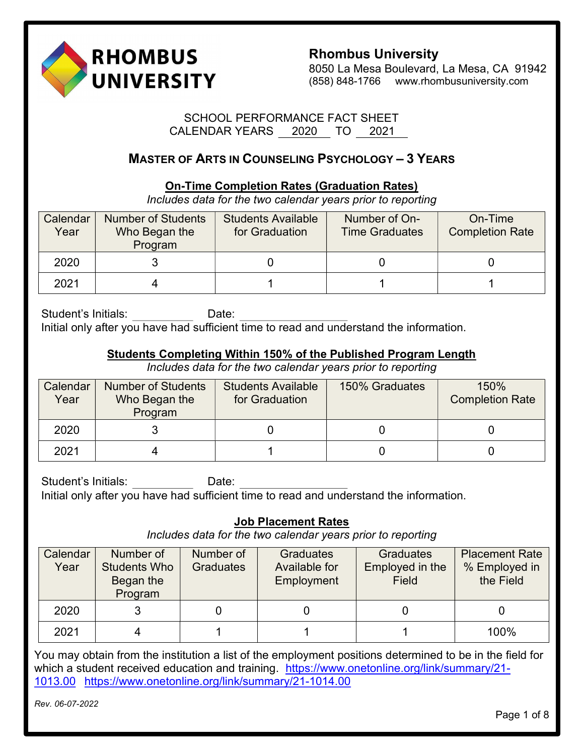

8050 La Mesa Boulevard, La Mesa, CA 91942 (858) 848-1766 www.rhombusuniversity.com

## SCHOOL PERFORMANCE FACT SHEET CALENDAR YEARS 2020 TO 2021

# MASTER OF ARTS IN COUNSELING PSYCHOLOGY – 3 YEARS

## On-Time Completion Rates (Graduation Rates)

Includes data for the two calendar years prior to reporting

| Calendar<br>Year | <b>Number of Students</b><br>Who Began the<br>Program | <b>Students Available</b><br>for Graduation | Number of On-<br><b>Time Graduates</b> | On-Time<br><b>Completion Rate</b> |
|------------------|-------------------------------------------------------|---------------------------------------------|----------------------------------------|-----------------------------------|
| 2020             |                                                       |                                             |                                        |                                   |
| 2021             |                                                       |                                             |                                        |                                   |

Student's Initials: Date: Initial only after you have had sufficient time to read and understand the information.

## Students Completing Within 150% of the Published Program Length

Includes data for the two calendar years prior to reporting

| Calendar<br>Year | <b>Number of Students</b><br>Who Began the<br>Program | <b>Students Available</b><br>for Graduation | 150% Graduates | 150%<br><b>Completion Rate</b> |
|------------------|-------------------------------------------------------|---------------------------------------------|----------------|--------------------------------|
| 2020             |                                                       |                                             |                |                                |
| 2021             |                                                       |                                             |                |                                |

Student's Initials: Date: Initial only after you have had sufficient time to read and understand the information.

# Job Placement Rates

Includes data for the two calendar years prior to reporting

| Calendar<br>Year | Number of<br><b>Students Who</b><br>Began the<br>Program | Number of<br><b>Graduates</b> | <b>Graduates</b><br>Available for<br>Employment | <b>Graduates</b><br>Employed in the<br>Field | <b>Placement Rate</b><br>% Employed in<br>the Field |
|------------------|----------------------------------------------------------|-------------------------------|-------------------------------------------------|----------------------------------------------|-----------------------------------------------------|
| 2020             |                                                          |                               |                                                 |                                              |                                                     |
| 2021             |                                                          |                               |                                                 |                                              | 100%                                                |

You may obtain from the institution a list of the employment positions determined to be in the field for which a student received education and training. https://www.onetonline.org/link/summary/21-1013.00 https://www.onetonline.org/link/summary/21-1014.00

Rev. 06-07-2022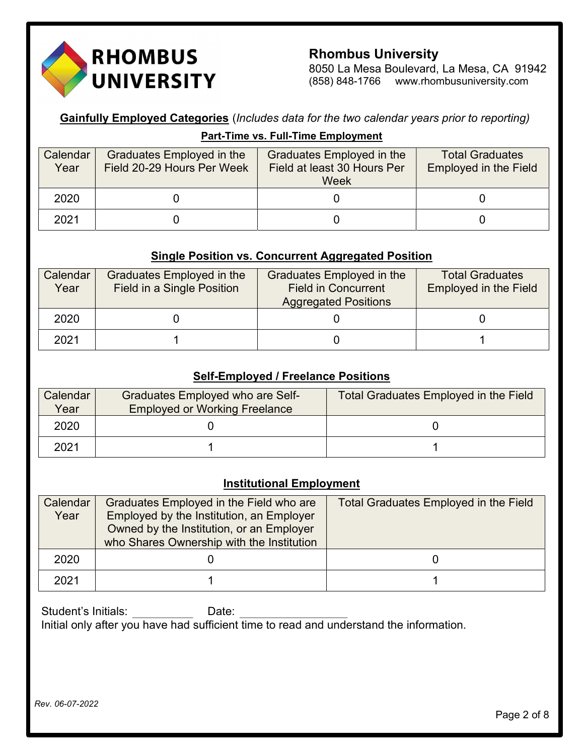

8050 La Mesa Boulevard, La Mesa, CA 91942 (858) 848-1766 www.rhombusuniversity.com

**Gainfully Employed Categories** (Includes data for the two calendar years prior to reporting) Part-Time vs. Full-Time Employment

| Calendar<br>Year | Graduates Employed in the<br>Field 20-29 Hours Per Week | Graduates Employed in the<br>Field at least 30 Hours Per<br>Week | <b>Total Graduates</b><br><b>Employed in the Field</b> |
|------------------|---------------------------------------------------------|------------------------------------------------------------------|--------------------------------------------------------|
| 2020             |                                                         |                                                                  |                                                        |
| 2021             |                                                         |                                                                  |                                                        |

#### Single Position vs. Concurrent Aggregated Position

| Calendar<br>Year | Graduates Employed in the<br>Field in a Single Position | Graduates Employed in the<br><b>Field in Concurrent</b><br><b>Aggregated Positions</b> | <b>Total Graduates</b><br><b>Employed in the Field</b> |
|------------------|---------------------------------------------------------|----------------------------------------------------------------------------------------|--------------------------------------------------------|
| 2020             |                                                         |                                                                                        |                                                        |
| 2021             |                                                         |                                                                                        |                                                        |

#### **Self-Employed / Freelance Positions**

| Calendar<br>Year | Graduates Employed who are Self-<br><b>Employed or Working Freelance</b> | Total Graduates Employed in the Field |
|------------------|--------------------------------------------------------------------------|---------------------------------------|
| 2020             |                                                                          |                                       |
| 2021             |                                                                          |                                       |

## **Institutional Employment**

| Calendar | Graduates Employed in the Field who are   | <b>Total Graduates Employed in the Field</b> |
|----------|-------------------------------------------|----------------------------------------------|
| Year     | Employed by the Institution, an Employer  |                                              |
|          | Owned by the Institution, or an Employer  |                                              |
|          | who Shares Ownership with the Institution |                                              |
| 2020     |                                           |                                              |
| 2021     |                                           |                                              |

Student's Initials: Date: Initial only after you have had sufficient time to read and understand the information.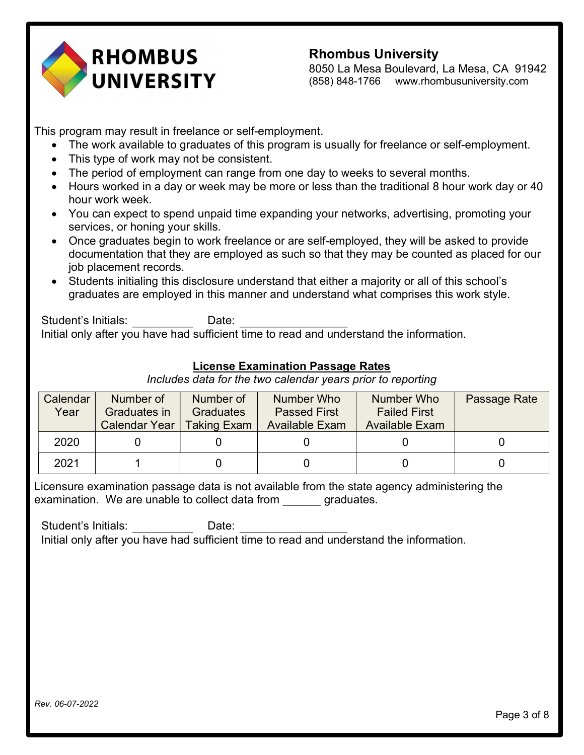

8050 La Mesa Boulevard, La Mesa, CA 91942 (858) 848-1766 www.rhombusuniversity.com

This program may result in freelance or self-employment.

- The work available to graduates of this program is usually for freelance or self-employment.
- This type of work may not be consistent.
- The period of employment can range from one day to weeks to several months.
- Hours worked in a day or week may be more or less than the traditional 8 hour work day or 40 hour work week.
- You can expect to spend unpaid time expanding your networks, advertising, promoting your services, or honing your skills.
- Once graduates begin to work freelance or are self-employed, they will be asked to provide documentation that they are employed as such so that they may be counted as placed for our job placement records.
- Students initialing this disclosure understand that either a majority or all of this school's graduates are employed in this manner and understand what comprises this work style.

Student's Initials: Date: Initial only after you have had sufficient time to read and understand the information.

# License Examination Passage Rates

Includes data for the two calendar years prior to reporting

| Calendar | Number of            | Number of          | Number Who            | Number Who            | Passage Rate |
|----------|----------------------|--------------------|-----------------------|-----------------------|--------------|
| Year     | Graduates in         | <b>Graduates</b>   | <b>Passed First</b>   | <b>Failed First</b>   |              |
|          | <b>Calendar Year</b> | <b>Taking Exam</b> | <b>Available Exam</b> | <b>Available Exam</b> |              |
| 2020     |                      |                    |                       |                       |              |
| 2021     |                      |                    |                       |                       |              |

Licensure examination passage data is not available from the state agency administering the examination. We are unable to collect data from equivalently graduates.

Student's Initials: Date: Initial only after you have had sufficient time to read and understand the information.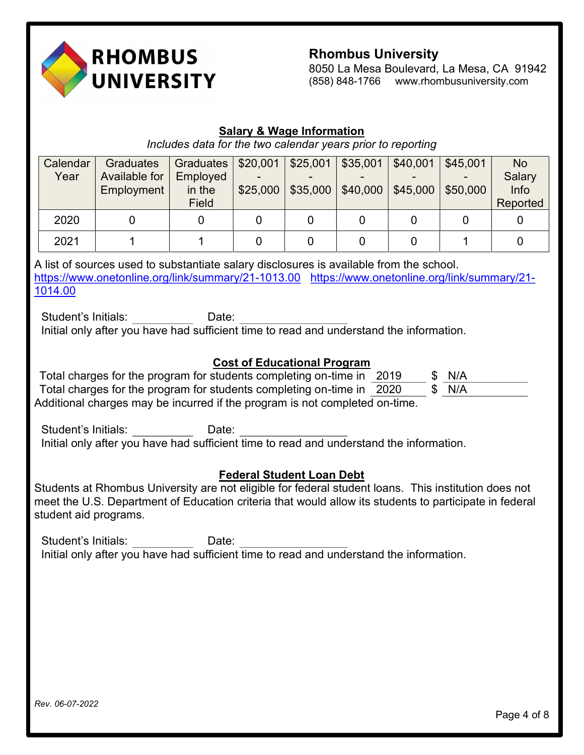

8050 La Mesa Boulevard, La Mesa, CA 91942 (858) 848-1766 www.rhombusuniversity.com

#### Salary & Wage Information

Includes data for the two calendar years prior to reporting

| Calendar | Graduates     | Graduates $  $20,001$ |          | \$25,001 | \$35,001 | \$40,001 | \$45,001 | <b>No</b> |
|----------|---------------|-----------------------|----------|----------|----------|----------|----------|-----------|
| Year     | Available for | Employed              |          |          |          |          |          | Salary    |
|          | Employment    | in the                | \$25,000 | \$35,000 | \$40,000 | \$45,000 | \$50,000 | Info      |
|          |               | Field                 |          |          |          |          |          | Reported  |
| 2020     |               |                       |          |          |          |          |          |           |
| 2021     |               |                       |          |          |          |          |          |           |

A list of sources used to substantiate salary disclosures is available from the school. https://www.onetonline.org/link/summary/21-1013.00 https://www.onetonline.org/link/summary/21-1014.00

Student's Initials: Date: Initial only after you have had sufficient time to read and understand the information.

#### Cost of Educational Program

| Total charges for the program for students completing on-time in 2019       |  | \$ N/A |
|-----------------------------------------------------------------------------|--|--------|
| Total charges for the program for students completing on-time in 2020       |  | \$ N/A |
| Additional charges may be incurred if the program is not completed on-time. |  |        |

Student's Initials: Date: Initial only after you have had sufficient time to read and understand the information.

#### Federal Student Loan Debt

Students at Rhombus University are not eligible for federal student loans. This institution does not meet the U.S. Department of Education criteria that would allow its students to participate in federal student aid programs.

Student's Initials: Date: Initial only after you have had sufficient time to read and understand the information.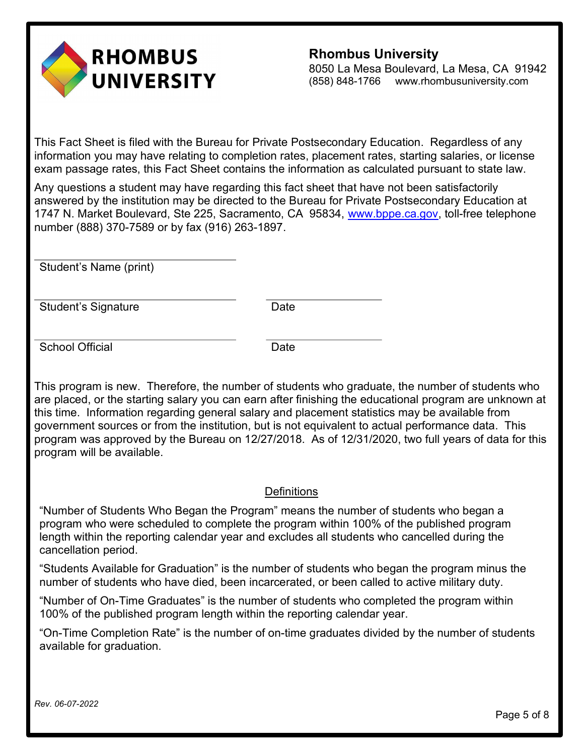

8050 La Mesa Boulevard, La Mesa, CA 91942 (858) 848-1766 www.rhombusuniversity.com

This Fact Sheet is filed with the Bureau for Private Postsecondary Education. Regardless of any information you may have relating to completion rates, placement rates, starting salaries, or license exam passage rates, this Fact Sheet contains the information as calculated pursuant to state law.

Any questions a student may have regarding this fact sheet that have not been satisfactorily answered by the institution may be directed to the Bureau for Private Postsecondary Education at 1747 N. Market Boulevard, Ste 225, Sacramento, CA 95834, www.bppe.ca.gov, toll-free telephone number (888) 370-7589 or by fax (916) 263-1897.

Student's Name (print)

Student's Signature **Date** 

School Official Date

This program is new. Therefore, the number of students who graduate, the number of students who are placed, or the starting salary you can earn after finishing the educational program are unknown at this time. Information regarding general salary and placement statistics may be available from government sources or from the institution, but is not equivalent to actual performance data. This program was approved by the Bureau on 12/27/2018. As of 12/31/2020, two full years of data for this program will be available.

#### **Definitions**

"Number of Students Who Began the Program" means the number of students who began a program who were scheduled to complete the program within 100% of the published program length within the reporting calendar year and excludes all students who cancelled during the cancellation period.

"Students Available for Graduation" is the number of students who began the program minus the number of students who have died, been incarcerated, or been called to active military duty.

"Number of On-Time Graduates" is the number of students who completed the program within 100% of the published program length within the reporting calendar year.

"On-Time Completion Rate" is the number of on-time graduates divided by the number of students available for graduation.

Rev. 06-07-2022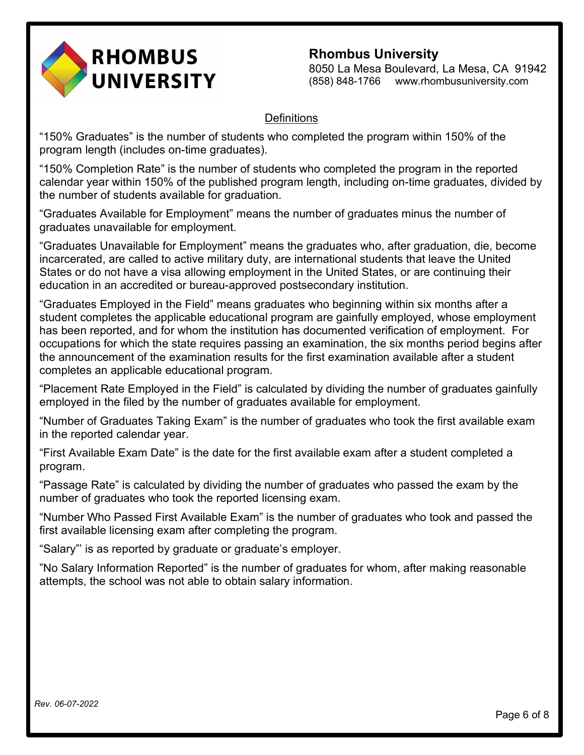

8050 La Mesa Boulevard, La Mesa, CA 91942 (858) 848-1766 www.rhombusuniversity.com

## **Definitions**

"150% Graduates" is the number of students who completed the program within 150% of the program length (includes on-time graduates).

"150% Completion Rate" is the number of students who completed the program in the reported calendar year within 150% of the published program length, including on-time graduates, divided by the number of students available for graduation.

"Graduates Available for Employment" means the number of graduates minus the number of graduates unavailable for employment.

"Graduates Unavailable for Employment" means the graduates who, after graduation, die, become incarcerated, are called to active military duty, are international students that leave the United States or do not have a visa allowing employment in the United States, or are continuing their education in an accredited or bureau-approved postsecondary institution.

"Graduates Employed in the Field" means graduates who beginning within six months after a student completes the applicable educational program are gainfully employed, whose employment has been reported, and for whom the institution has documented verification of employment. For occupations for which the state requires passing an examination, the six months period begins after the announcement of the examination results for the first examination available after a student completes an applicable educational program.

"Placement Rate Employed in the Field" is calculated by dividing the number of graduates gainfully employed in the filed by the number of graduates available for employment.

"Number of Graduates Taking Exam" is the number of graduates who took the first available exam in the reported calendar year.

"First Available Exam Date" is the date for the first available exam after a student completed a program.

"Passage Rate" is calculated by dividing the number of graduates who passed the exam by the number of graduates who took the reported licensing exam.

"Number Who Passed First Available Exam" is the number of graduates who took and passed the first available licensing exam after completing the program.

"Salary"' is as reported by graduate or graduate's employer.

"No Salary Information Reported" is the number of graduates for whom, after making reasonable attempts, the school was not able to obtain salary information.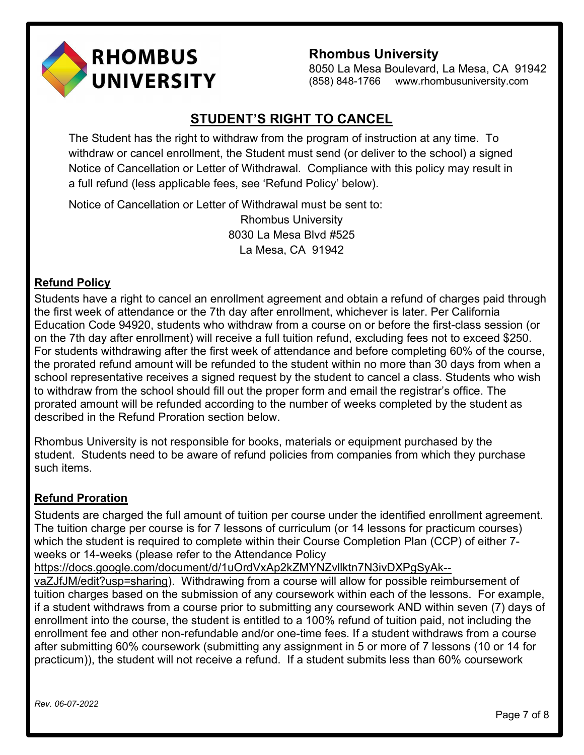

8050 La Mesa Boulevard, La Mesa, CA 91942 (858) 848-1766 www.rhombusuniversity.com

# STUDENT'S RIGHT TO CANCEL

The Student has the right to withdraw from the program of instruction at any time. To withdraw or cancel enrollment, the Student must send (or deliver to the school) a signed Notice of Cancellation or Letter of Withdrawal. Compliance with this policy may result in a full refund (less applicable fees, see 'Refund Policy' below).

Notice of Cancellation or Letter of Withdrawal must be sent to: Rhombus University 8030 La Mesa Blvd #525 La Mesa, CA 91942

# Refund Policy

Students have a right to cancel an enrollment agreement and obtain a refund of charges paid through the first week of attendance or the 7th day after enrollment, whichever is later. Per California Education Code 94920, students who withdraw from a course on or before the first-class session (or on the 7th day after enrollment) will receive a full tuition refund, excluding fees not to exceed \$250. For students withdrawing after the first week of attendance and before completing 60% of the course, the prorated refund amount will be refunded to the student within no more than 30 days from when a school representative receives a signed request by the student to cancel a class. Students who wish to withdraw from the school should fill out the proper form and email the registrar's office. The prorated amount will be refunded according to the number of weeks completed by the student as described in the Refund Proration section below.

Rhombus University is not responsible for books, materials or equipment purchased by the student. Students need to be aware of refund policies from companies from which they purchase such items.

# Refund Proration

Students are charged the full amount of tuition per course under the identified enrollment agreement. The tuition charge per course is for 7 lessons of curriculum (or 14 lessons for practicum courses) which the student is required to complete within their Course Completion Plan (CCP) of either 7 weeks or 14-weeks (please refer to the Attendance Policy

https://docs.google.com/document/d/1uOrdVxAp2kZMYNZvllktn7N3ivDXPgSyAk--

vaZJfJM/edit?usp=sharing). Withdrawing from a course will allow for possible reimbursement of tuition charges based on the submission of any coursework within each of the lessons. For example, if a student withdraws from a course prior to submitting any coursework AND within seven (7) days of enrollment into the course, the student is entitled to a 100% refund of tuition paid, not including the enrollment fee and other non-refundable and/or one-time fees. If a student withdraws from a course after submitting 60% coursework (submitting any assignment in 5 or more of 7 lessons (10 or 14 for practicum)), the student will not receive a refund. If a student submits less than 60% coursework